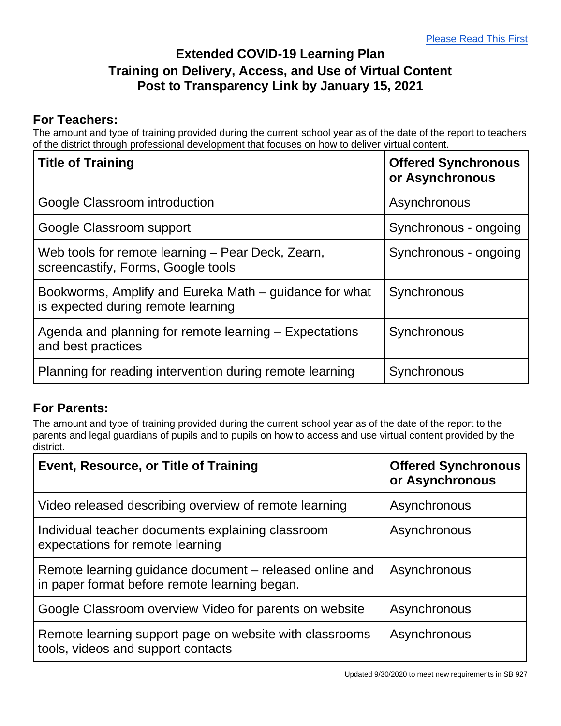## **Extended COVID-19 Learning Plan Training on Delivery, Access, and Use of Virtual Content Post to Transparency Link by January 15, 2021**

## **For Teachers:**

The amount and type of training provided during the current school year as of the date of the report to teachers of the district through professional development that focuses on how to deliver virtual content.

| <b>Title of Training</b>                                                                     | <b>Offered Synchronous</b><br>or Asynchronous |
|----------------------------------------------------------------------------------------------|-----------------------------------------------|
| Google Classroom introduction                                                                | Asynchronous                                  |
| Google Classroom support                                                                     | Synchronous - ongoing                         |
| Web tools for remote learning – Pear Deck, Zearn,<br>screencastify, Forms, Google tools      | Synchronous - ongoing                         |
| Bookworms, Amplify and Eureka Math – guidance for what<br>is expected during remote learning | Synchronous                                   |
| Agenda and planning for remote learning - Expectations<br>and best practices                 | Synchronous                                   |
| Planning for reading intervention during remote learning                                     | Synchronous                                   |

## **For Parents:**

The amount and type of training provided during the current school year as of the date of the report to the parents and legal guardians of pupils and to pupils on how to access and use virtual content provided by the district.

| <b>Event, Resource, or Title of Training</b>                                                             | <b>Offered Synchronous</b><br>or Asynchronous |
|----------------------------------------------------------------------------------------------------------|-----------------------------------------------|
| Video released describing overview of remote learning                                                    | Asynchronous                                  |
| Individual teacher documents explaining classroom<br>expectations for remote learning                    | Asynchronous                                  |
| Remote learning guidance document – released online and<br>in paper format before remote learning began. | Asynchronous                                  |
| Google Classroom overview Video for parents on website                                                   | Asynchronous                                  |
| Remote learning support page on website with classrooms<br>tools, videos and support contacts            | Asynchronous                                  |